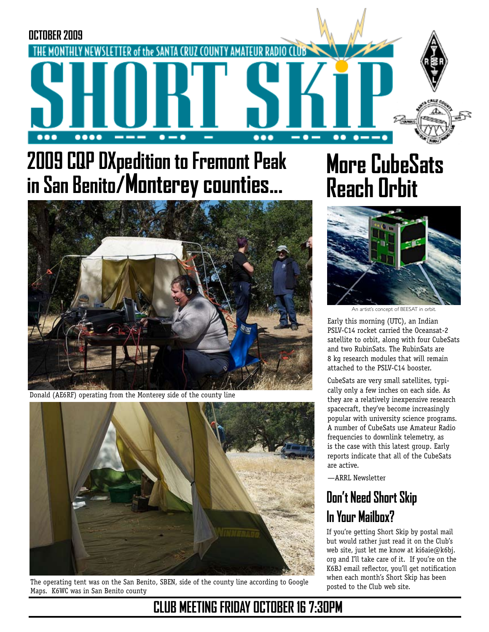

# **2009 CQP DXpedition to Fremont Peak in San Benito/Monterey counties...**



Donald (AE6RF) operating from the Monterey side of the county line



The operating tent was on the San Benito, SBEN, side of the county line according to Google Maps. K6WC was in San Benito county

# **More CubeSats Reach Orbit**



An artist's concept of BEESAT in orbit.

Early this morning (UTC), an Indian PSLV-C14 rocket carried the Oceansat-2 satellite to orbit, along with four CubeSats and two RubinSats. The RubinSats are 8 kg research modules that will remain attached to the PSLV-C14 booster.

CubeSats are very small satellites, typically only a few inches on each side. As they are a relatively inexpensive research spacecraft, they've become increasingly popular with university science programs. A number of CubeSats use Amateur Radio frequencies to downlink telemetry, as is the case with this latest group. Early reports indicate that all of the CubeSats are active.

—ARRL Newsletter

## **Don't Need Short Skip In Your Mailbox?**

If you're getting Short Skip by postal mail but would rather just read it on the Club's web site, just let me know at ki6aie@k6bj. org and I'll take care of it. If you're on the K6BJ email reflector, you'll get notification when each month's Short Skip has been posted to the Club web site.

## **CLUB MEETING FRIDAY OCTOBER 16 7:30PM**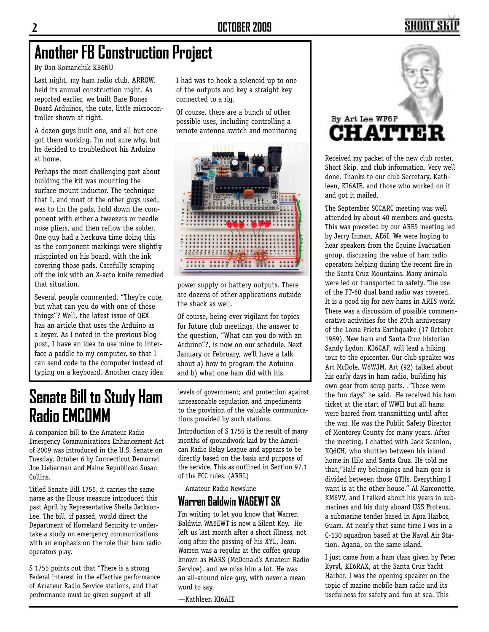## SHORT S

## **Another FB Construction Project**

By Dan Romanchik KB6NU

Last night, my ham radio club, ARROW, held its annual construction night. As reported earlier, we built Bare Bones Board Arduinos, the cute, little microcontroller shown at right.

A dozen guys built one, and all but one got them working. I'm not sure why, but he decided to troubleshoot his Arduino at home.

Perhaps the most challenging part about building the kit was mounting the surface-mount inductor. The technique that I, and most of the other guys used, was to tin the pads, hold down the component with either a tweezers or needle nose pliers, and then reflow the solder. One guy had a heckuva time doing this as the component markings were slightly misprinted on his board, with the ink covering those pads. Carefully scraping off the ink with an X-acto knife remedied that situation.

Several people commented, "They're cute, but what can you do with one of those things"? Well, the latest issue of QEX has an article that uses the Arduino as a keyer. As I noted in the previous blog post, I have an idea to use mine to interface a paddle to my computer, so that I can send code to the computer instead of typing on a keyboard. Another crazy idea I had was to hook a solenoid up to one of the outputs and key a straight key connected to a rig.

Of course, there are a bunch of other possible uses, including controlling a remote antenna switch and monitoring



power supply or battery outputs. There are dozens of other applications outside the shack as well.

Of course, being ever vigilant for topics for future club meetings, the answer to the question, "What can you do with an Arduino"?, is now on our schedule. Next January or February, we'll have a talk about a) how to program the Arduino and b) what one ham did with his.

## **Senate Bill to Study Ham Radio EMCOMM**

A companion bill to the Amateur Radio Emergency Communications Enhancement Act of 2009 was introduced in the U.S. Senate on Tuesday, October 6 by Connecticut Democrat Joe Lieberman and Maine Republican Susan Collins.

Titled Senate Bill 1755, it carries the same name as the House measure introduced this past April by Representative Sheila Jackson-Lee. The bill, if passed, would direct the Department of Homeland Security to undertake a study on emergency communications with an emphasis on the role that ham radio operators play.

S 1755 points out that "There is a strong Federal interest in the effective performance of Amateur Radio Service stations, and that performance must be given support at all

levels of government; and protection against unreasonable regulation and impediments to the provision of the valuable communications provided by such stations.

Introduction of S 1755 is the result of many months of groundwork laid by the American Radio Relay League and appears to be directly based on the basis and purpose of the service. This as outlined in Section 97.1 of the FCC rules. (ARRL)

—Amateur Radio Newsline

#### **Warren Baldwin WA6EWT SK**

I'm writing to let you know that Warren Baldwin WA6EWT is now a Silent Key. He left us last month after a short illness, not long after the passing of his XYL, Jean. Warren was a regular at the coffee group known as MARS (McDonald's Amateur Radio Service), and we miss him a lot. He was an all-around nice guy, with never a mean word to say.

—Kathleen KI6AIE



Received my packet of the new club roster, Short Skip, and club information. Very well done. Thanks to our club Secretary, Kathleen, KI6AIE, and those who worked on it and got it mailed.

The September SCCARC meeting was well attended by about 40 members and guests. This was preceded by our ARES meeting led by Jerry Inman, AE6I. We were hoping to hear speakers from the Equine Evacuation group, discussing the value of ham radio operators helping during the recent fire in the Santa Cruz Mountains. Many animals were led or transported to safety. The use of the FT-60 dual band radio was covered. It is a good rig for new hams in ARES work. There was a discussion of possible commemorative activities for the 20th anniversary of the Loma Prieta Earthquake (17 October 1989). New ham and Santa Cruz historian Sandy Lydon, KJ6CAF, will lead a hiking tour to the epicenter. Our club speaker was Art McDole, W6WJM. Art (92) talked about his early days in ham radio, building his own gear from scrap parts. ."Those were the fun days" he said. He received his ham ticket at the start of WWII but all hams were barred from transmitting until after the war. He was the Public Safety Director of Monterey County for many years. After the meeting, I chatted with Jack Scanlon, KQ6CH, who shuttles between his island home in Hilo and Santa Cruz. He told me that,"Half my belongings and ham gear is divided between those QTHs. Everything I want is at the other house." Al Marconette, KM6VV, and I talked about his years in submarines and his duty aboard USS Proteus, a submarine tender based in Apra Harbor, Guam. At nearly that same time I was in a C-130 squadron based at the Naval Air Station, Agana, on the same island.

I just came from a ham class given by Peter Kyryl, KE6RAX, at the Santa Cruz Yacht Harbor. I was the opening speaker on the topic of marine mobile ham radio and its usefulness for safety and fun at sea. This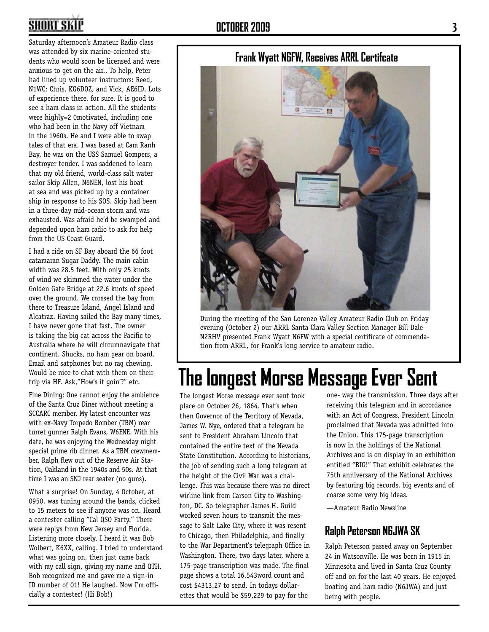## **SHORT SKI**

Saturday afternoon's Amateur Radio class was attended by six marine-oriented students who would soon be licensed and were anxious to get on the air.. To help, Peter had lined up volunteer instructors: Reed, N1WC; Chris, KG6DOZ, and Vick, AE6ID. Lots of experience there, for sure. It is good to see a ham class in action. All the students were highly=2 0motivated, including one who had been in the Navy off Vietnam in the 1960s. He and I were able to swap tales of that era. I was based at Cam Ranh Bay, he was on the USS Samuel Gompers, a destroyer tender. I was saddened to learn that my old friend, world-class salt water sailor Skip Allen, N6NEN, lost his boat at sea and was picked up by a container ship in response to his SOS. Skip had been in a three-day mid-ocean storm and was exhausted. Was afraid he'd be swamped and depended upon ham radio to ask for help from the US Coast Guard.

I had a ride on SF Bay aboard the 66 foot catamaran Sugar Daddy. The main cabin width was 28.5 feet. With only 25 knots of wind we skimmed the water under the Golden Gate Bridge at 22.6 knots of speed over the ground. We crossed the bay from there to Treasure Island, Angel Island and Alcatraz. Having sailed the Bay many times, I have never gone that fast. The owner is taking the big cat across the Pacific to Australia where he will circumnavigate that continent. Shucks, no ham gear on board. Email and satphones but no rag chewing. Would be nice to chat with them on their trip via HF. Ask,"How's it goin'?" etc.

Fine Dining: One cannot enjoy the ambience of the Santa Cruz Diner without meeting a SCCARC member. My latest encounter was with ex-Navy Torpedo Bomber (TBM) rear turret gunner Ralph Evans, W6ENE. With his date, he was enjoying the Wednesday night special prime rib dinner. As a TBM crewmember, Ralph flew out of the Reserve Air Station, Oakland in the 1940s and 50s. At that time I was an SNJ rear seater (no guns).

What a surprise! On Sunday, 4 October, at 0950, was tuning around the bands, clicked to 15 meters to see if anyone was on. Heard a contester calling "Cal QSO Party." There were replys from New Jersey and Florida. Listening more closely, I heard it was Bob Wolbert, K6XX, calling. I tried to understand what was going on, then just came back with my call sign, giving my name and QTH. Bob recognized me and gave me a sign-in ID number of 01! He laughed. Now I'm officially a contester! (Hi Bob!)



During the meeting of the San Lorenzo Valley Amateur Radio Club on Friday evening (October 2) our ARRL Santa Clara Valley Section Manager Bill Dale N2RHV presented Frank Wyatt N6FW with a special certificate of commendation from ARRL, for Frank's long service to amateur radio.

# **The longest Morse Message Ever Sent**

The longest Morse message ever sent took place on October 26, 1864. That's when then Governor of the Territory of Nevada, James W. Nye, ordered that a telegram be sent to President Abraham Lincoln that contained the entire text of the Nevada State Constitution. According to historians, the job of sending such a long telegram at the height of the Civil War was a challenge. This was because there was no direct wirline link from Carson City to Washington, DC. So telegrapher James H. Guild worked seven hours to transmit the message to Salt Lake City, where it was resent to Chicago, then Philadelphia, and finally to the War Department's telegraph Office in Washington. There, two days later, where a 175-page transcription was made. The final page shows a total 16,543word count and cost \$4313.27 to send. In todays dollarettes that would be \$59,229 to pay for the

one- way the transmission. Three days after receiving this telegram and in accordance with an Act of Congress, President Lincoln proclaimed that Nevada was admitted into the Union. This 175-page transcription is now in the holdings of the National Archives and is on display in an exhibition entitled "BIG!" That exhibit celebrates the 75th anniversary of the National Archives by featuring big records, big events and of coarse some very big ideas.

—Amateur Radio Newsline

#### **Ralph Peterson N6JWA SK**

Ralph Peterson passed away on September 24 in Watsonville. He was born in 1915 in Minnesota and lived in Santa Cruz County off and on for the last 40 years. He enjoyed boating and ham radio (N6JWA) and just being with people.